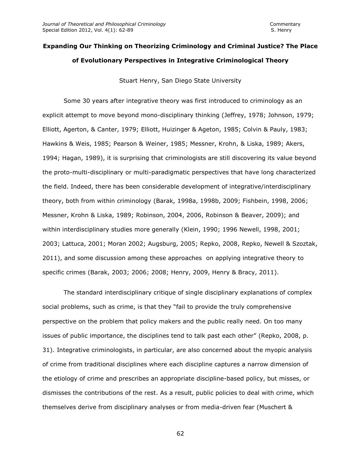# **Expanding Our Thinking on Theorizing Criminology and Criminal Justice? The Place of Evolutionary Perspectives in Integrative Criminological Theory**

Stuart Henry, San Diego State University

Some 30 years after integrative theory was first introduced to criminology as an explicit attempt to move beyond mono-disciplinary thinking (Jeffrey, 1978; Johnson, 1979; Elliott, Agerton, & Canter, 1979; Elliott, Huizinger & Ageton, 1985; Colvin & Pauly, 1983; Hawkins & Weis, 1985; Pearson & Weiner, 1985; Messner, Krohn, & Liska, 1989; Akers, 1994; Hagan, 1989), it is surprising that criminologists are still discovering its value beyond the proto-multi-disciplinary or multi-paradigmatic perspectives that have long characterized the field. Indeed, there has been considerable development of integrative/interdisciplinary theory, both from within criminology (Barak, 1998a, 1998b, 2009; Fishbein, 1998, 2006; Messner, Krohn & Liska, 1989; Robinson, 2004, 2006, Robinson & Beaver, 2009); and within interdisciplinary studies more generally (Klein, 1990; 1996 Newell, 1998, 2001; 2003; Lattuca, 2001; Moran 2002; Augsburg, 2005; Repko, 2008, Repko, Newell & Szoztak, 2011), and some discussion among these approaches on applying integrative theory to specific crimes (Barak, 2003; 2006; 2008; Henry, 2009, Henry & Bracy, 2011).

The standard interdisciplinary critique of single disciplinary explanations of complex social problems, such as crime, is that they "fail to provide the truly comprehensive perspective on the problem that policy makers and the public really need. On too many issues of public importance, the disciplines tend to talk past each other" (Repko, 2008, p. 31). Integrative criminologists, in particular, are also concerned about the myopic analysis of crime from traditional disciplines where each discipline captures a narrow dimension of the etiology of crime and prescribes an appropriate discipline-based policy, but misses, or dismisses the contributions of the rest. As a result, public policies to deal with crime, which themselves derive from disciplinary analyses or from media-driven fear (Muschert &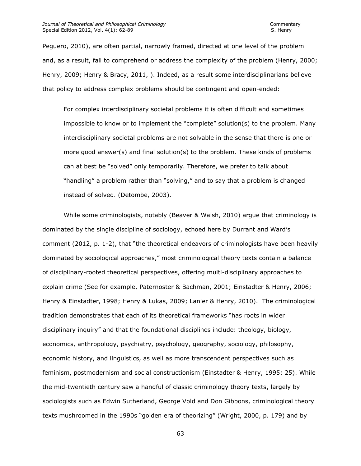Peguero, 2010), are often partial, narrowly framed, directed at one level of the problem and, as a result, fail to comprehend or address the complexity of the problem (Henry, 2000; Henry, 2009; Henry & Bracy, 2011, ). Indeed, as a result some interdisciplinarians believe that policy to address complex problems should be contingent and open-ended:

For complex interdisciplinary societal problems it is often difficult and sometimes impossible to know or to implement the "complete" solution(s) to the problem. Many interdisciplinary societal problems are not solvable in the sense that there is one or more good answer(s) and final solution(s) to the problem. These kinds of problems can at best be "solved" only temporarily. Therefore, we prefer to talk about "handling" a problem rather than "solving," and to say that a problem is changed instead of solved. (Detombe, 2003).

While some criminologists, notably (Beaver & Walsh, 2010) argue that criminology is dominated by the single discipline of sociology, echoed here by Durrant and Ward's comment (2012, p. 1-2), that "the theoretical endeavors of criminologists have been heavily dominated by sociological approaches," most criminological theory texts contain a balance of disciplinary-rooted theoretical perspectives, offering multi-disciplinary approaches to explain crime (See for example, Paternoster & Bachman, 2001; Einstadter & Henry, 2006; Henry & Einstadter, 1998; Henry & Lukas, 2009; Lanier & Henry, 2010). The criminological tradition demonstrates that each of its theoretical frameworks "has roots in wider disciplinary inquiry" and that the foundational disciplines include: theology, biology, economics, anthropology, psychiatry, psychology, geography, sociology, philosophy, economic history, and linguistics, as well as more transcendent perspectives such as feminism, postmodernism and social constructionism (Einstadter & Henry, 1995: 25). While the mid-twentieth century saw a handful of classic criminology theory texts, largely by sociologists such as Edwin Sutherland, George Vold and Don Gibbons, criminological theory texts mushroomed in the 1990s "golden era of theorizing" (Wright, 2000, p. 179) and by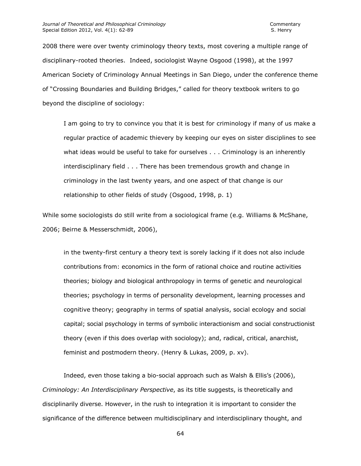2008 there were over twenty criminology theory texts, most covering a multiple range of disciplinary-rooted theories. Indeed, sociologist Wayne Osgood (1998), at the 1997 American Society of Criminology Annual Meetings in San Diego, under the conference theme of "Crossing Boundaries and Building Bridges," called for theory textbook writers to go beyond the discipline of sociology:

I am going to try to convince you that it is best for criminology if many of us make a regular practice of academic thievery by keeping our eyes on sister disciplines to see what ideas would be useful to take for ourselves . . . Criminology is an inherently interdisciplinary field . . . There has been tremendous growth and change in criminology in the last twenty years, and one aspect of that change is our relationship to other fields of study (Osgood, 1998, p. 1)

While some sociologists do still write from a sociological frame (e.g. Williams & McShane, 2006; Beirne & Messerschmidt, 2006),

in the twenty-first century a theory text is sorely lacking if it does not also include contributions from: economics in the form of rational choice and routine activities theories; biology and biological anthropology in terms of genetic and neurological theories; psychology in terms of personality development, learning processes and cognitive theory; geography in terms of spatial analysis, social ecology and social capital; social psychology in terms of symbolic interactionism and social constructionist theory (even if this does overlap with sociology); and, radical, critical, anarchist, feminist and postmodern theory. (Henry & Lukas, 2009, p. xv).

Indeed, even those taking a bio-social approach such as Walsh & Ellis's (2006), *Criminology: An Interdisciplinary Perspective*, as its title suggests, is theoretically and disciplinarily diverse. However, in the rush to integration it is important to consider the significance of the difference between multidisciplinary and interdisciplinary thought, and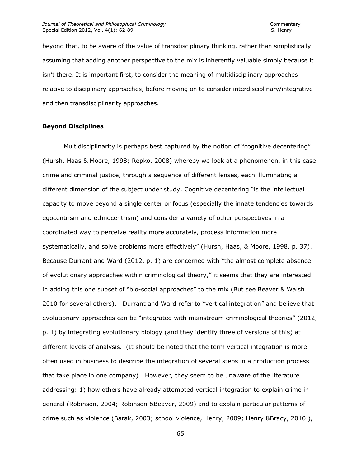beyond that, to be aware of the value of transdisciplinary thinking, rather than simplistically assuming that adding another perspective to the mix is inherently valuable simply because it isn't there. It is important first, to consider the meaning of multidisciplinary approaches relative to disciplinary approaches, before moving on to consider interdisciplinary/integrative and then transdisciplinarity approaches.

### **Beyond Disciplines**

Multidisciplinarity is perhaps best captured by the notion of "cognitive decentering" (Hursh, Haas & Moore, 1998; Repko, 2008) whereby we look at a phenomenon, in this case crime and criminal justice, through a sequence of different lenses, each illuminating a different dimension of the subject under study. Cognitive decentering "is the intellectual capacity to move beyond a single center or focus (especially the innate tendencies towards egocentrism and ethnocentrism) and consider a variety of other perspectives in a coordinated way to perceive reality more accurately, process information more systematically, and solve problems more effectively" (Hursh, Haas, & Moore, 1998, p. 37). Because Durrant and Ward (2012, p. 1) are concerned with "the almost complete absence of evolutionary approaches within criminological theory," it seems that they are interested in adding this one subset of "bio-social approaches" to the mix (But see Beaver & Walsh 2010 for several others). Durrant and Ward refer to "vertical integration" and believe that evolutionary approaches can be "integrated with mainstream criminological theories" (2012, p. 1) by integrating evolutionary biology (and they identify three of versions of this) at different levels of analysis. (It should be noted that the term vertical integration is more often used in business to describe the integration of several steps in a production process that take place in one company). However, they seem to be unaware of the literature addressing: 1) how others have already attempted vertical integration to explain crime in general (Robinson, 2004; Robinson &Beaver, 2009) and to explain particular patterns of crime such as violence (Barak, 2003; school violence, Henry, 2009; Henry &Bracy, 2010 ),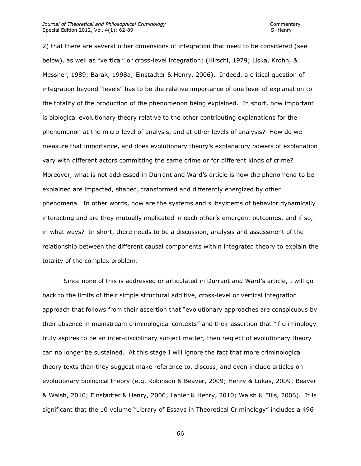2) that there are several other dimensions of integration that need to be considered (see below), as well as "vertical" or cross-level integration; (Hirschi, 1979; Liska, Krohn, & Messner, 1989; Barak, 1998a; Einstadter & Henry, 2006). Indeed, a critical question of integration beyond "levels" has to be the relative importance of one level of explanation to the totality of the production of the phenomenon being explained. In short, how important is biological evolutionary theory relative to the other contributing explanations for the phenomenon at the micro-level of analysis, and at other levels of analysis? How do we measure that importance, and does evolutionary theory's explanatory powers of explanation vary with different actors committing the same crime or for different kinds of crime? Moreover, what is not addressed in Durrant and Ward's article is how the phenomena to be explained are impacted, shaped, transformed and differently energized by other phenomena. In other words, how are the systems and subsystems of behavior dynamically interacting and are they mutually implicated in each other's emergent outcomes, and if so, in what ways? In short, there needs to be a discussion, analysis and assessment of the relationship between the different causal components within integrated theory to explain the totality of the complex problem.

Since none of this is addressed or articulated in Durrant and Ward's article, I will go back to the limits of their simple structural additive, cross-level or vertical integration approach that follows from their assertion that "evolutionary approaches are conspicuous by their absence in mainstream criminological contexts" and their assertion that "if criminology truly aspires to be an inter-disciplinary subject matter, then neglect of evolutionary theory can no longer be sustained. At this stage I will ignore the fact that more criminological theory texts than they suggest make reference to, discuss, and even include articles on evolutionary biological theory (e.g. Robinson & Beaver, 2009; Henry & Lukas, 2009; Beaver & Walsh, 2010; Einstadter & Henry, 2006; Lanier & Henry, 2010; Walsh & Ellis, 2006). It is significant that the 10 volume "Library of Essays in Theoretical Criminology" includes a 496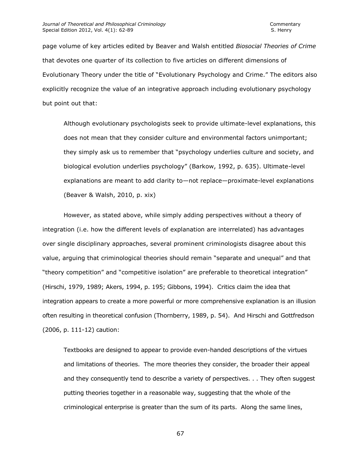page volume of key articles edited by Beaver and Walsh entitled *Biosocial Theories of Crime* that devotes one quarter of its collection to five articles on different dimensions of Evolutionary Theory under the title of "Evolutionary Psychology and Crime." The editors also explicitly recognize the value of an integrative approach including evolutionary psychology but point out that:

Although evolutionary psychologists seek to provide ultimate-level explanations, this does not mean that they consider culture and environmental factors unimportant; they simply ask us to remember that "psychology underlies culture and society, and biological evolution underlies psychology" (Barkow, 1992, p. 635). Ultimate-level explanations are meant to add clarity to—not replace—proximate-level explanations (Beaver & Walsh, 2010, p. xix)

However, as stated above, while simply adding perspectives without a theory of integration (i.e. how the different levels of explanation are interrelated) has advantages over single disciplinary approaches, several prominent criminologists disagree about this value, arguing that criminological theories should remain "separate and unequal" and that "theory competition" and "competitive isolation" are preferable to theoretical integration" (Hirschi, 1979, 1989; Akers, 1994, p. 195; Gibbons, 1994). Critics claim the idea that integration appears to create a more powerful or more comprehensive explanation is an illusion often resulting in theoretical confusion (Thornberry, 1989, p. 54). And Hirschi and Gottfredson (2006, p. 111-12) caution:

Textbooks are designed to appear to provide even-handed descriptions of the virtues and limitations of theories. The more theories they consider, the broader their appeal and they consequently tend to describe a variety of perspectives. . . They often suggest putting theories together in a reasonable way, suggesting that the whole of the criminological enterprise is greater than the sum of its parts. Along the same lines,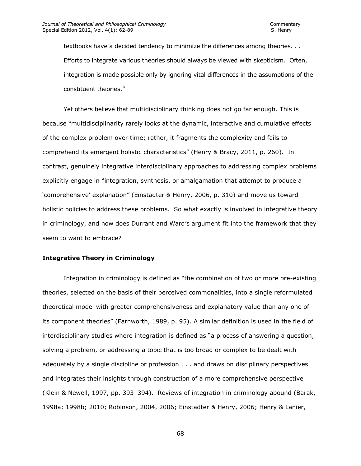textbooks have a decided tendency to minimize the differences among theories. . . Efforts to integrate various theories should always be viewed with skepticism. Often, integration is made possible only by ignoring vital differences in the assumptions of the constituent theories."

Yet others believe that multidisciplinary thinking does not go far enough. This is because "multidisciplinarity rarely looks at the dynamic, interactive and cumulative effects of the complex problem over time; rather, it fragments the complexity and fails to comprehend its emergent holistic characteristics" (Henry & Bracy, 2011, p. 260). In contrast, genuinely integrative interdisciplinary approaches to addressing complex problems explicitly engage in "integration, synthesis, or amalgamation that attempt to produce a 'comprehensive' explanation" (Einstadter & Henry, 2006, p. 310) and move us toward holistic policies to address these problems. So what exactly is involved in integrative theory in criminology, and how does Durrant and Ward's argument fit into the framework that they seem to want to embrace?

### **Integrative Theory in Criminology**

Integration in criminology is defined as "the combination of two or more pre-existing theories, selected on the basis of their perceived commonalities, into a single reformulated theoretical model with greater comprehensiveness and explanatory value than any one of its component theories" (Farnworth, 1989, p. 95). A similar definition is used in the field of interdisciplinary studies where integration is defined as "a process of answering a question, solving a problem, or addressing a topic that is too broad or complex to be dealt with adequately by a single discipline or profession . . . and draws on disciplinary perspectives and integrates their insights through construction of a more comprehensive perspective (Klein & Newell, 1997, pp. 393–394). Reviews of integration in criminology abound (Barak, 1998a; 1998b; 2010; Robinson, 2004, 2006; Einstadter & Henry, 2006; Henry & Lanier,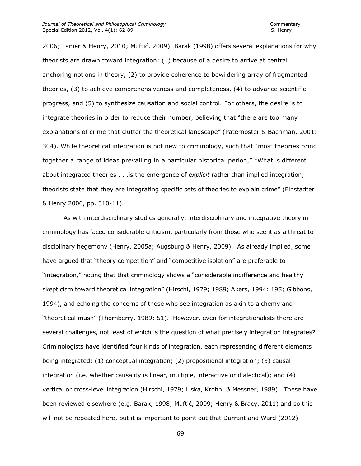2006; Lanier & Henry, 2010; Muftić, 2009). Barak (1998) offers several explanations for why theorists are drawn toward integration: (1) because of a desire to arrive at central anchoring notions in theory, (2) to provide coherence to bewildering array of fragmented theories, (3) to achieve comprehensiveness and completeness, (4) to advance scientific progress, and (5) to synthesize causation and social control. For others, the desire is to integrate theories in order to reduce their number, believing that "there are too many explanations of crime that clutter the theoretical landscape" (Paternoster & Bachman, 2001: 304). While theoretical integration is not new to criminology, such that "most theories bring together a range of ideas prevailing in a particular historical period," "What is different about integrated theories . . .is the emergence of *explicit* rather than implied integration; theorists state that they are integrating specific sets of theories to explain crime" (Einstadter & Henry 2006, pp. 310-11).

As with interdisciplinary studies generally, interdisciplinary and integrative theory in criminology has faced considerable criticism, particularly from those who see it as a threat to disciplinary hegemony (Henry, 2005a; Augsburg & Henry, 2009). As already implied, some have argued that "theory competition" and "competitive isolation" are preferable to "integration," noting that that criminology shows a "considerable indifference and healthy skepticism toward theoretical integration" (Hirschi, 1979; 1989; Akers, 1994: 195; Gibbons, 1994), and echoing the concerns of those who see integration as akin to alchemy and "theoretical mush" (Thornberry, 1989: 51). However, even for integrationalists there are several challenges, not least of which is the question of what precisely integration integrates? Criminologists have identified four kinds of integration, each representing different elements being integrated: (1) conceptual integration; (2) propositional integration; (3) causal integration (i.e. whether causality is linear, multiple, interactive or dialectical); and (4) vertical or cross-level integration (Hirschi, 1979; Liska, Krohn, & Messner, 1989). These have been reviewed elsewhere (e.g. Barak, 1998; Muftić, 2009; Henry & Bracy, 2011) and so this will not be repeated here, but it is important to point out that Durrant and Ward (2012)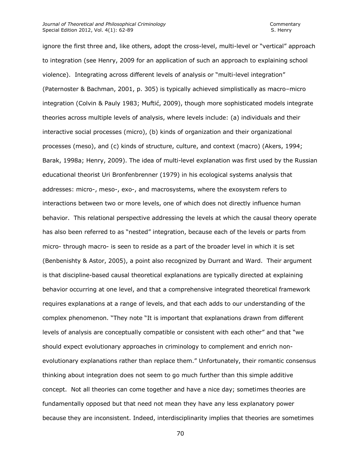ignore the first three and, like others, adopt the cross-level, multi-level or "vertical" approach to integration (see Henry, 2009 for an application of such an approach to explaining school violence). Integrating across different levels of analysis or "multi-level integration" (Paternoster & Bachman, 2001, p. 305) is typically achieved simplistically as macro–micro integration (Colvin & Pauly 1983; Muftić, 2009), though more sophisticated models integrate theories across multiple levels of analysis, where levels include: (a) individuals and their interactive social processes (micro), (b) kinds of organization and their organizational processes (meso), and (c) kinds of structure, culture, and context (macro) (Akers, 1994; Barak, 1998a; Henry, 2009). The idea of multi-level explanation was first used by the Russian educational theorist Uri Bronfenbrenner (1979) in his ecological systems analysis that addresses: micro-, meso-, exo-, and macrosystems, where the exosystem refers to interactions between two or more levels, one of which does not directly influence human behavior. This relational perspective addressing the levels at which the causal theory operate has also been referred to as "nested" integration, because each of the levels or parts from micro- through macro- is seen to reside as a part of the broader level in which it is set (Benbenishty & Astor, 2005), a point also recognized by Durrant and Ward. Their argument is that discipline-based causal theoretical explanations are typically directed at explaining behavior occurring at one level, and that a comprehensive integrated theoretical framework requires explanations at a range of levels, and that each adds to our understanding of the complex phenomenon. "They note "It is important that explanations drawn from different levels of analysis are conceptually compatible or consistent with each other" and that "we should expect evolutionary approaches in criminology to complement and enrich nonevolutionary explanations rather than replace them." Unfortunately, their romantic consensus thinking about integration does not seem to go much further than this simple additive concept. Not all theories can come together and have a nice day; sometimes theories are fundamentally opposed but that need not mean they have any less explanatory power because they are inconsistent. Indeed, interdisciplinarity implies that theories are sometimes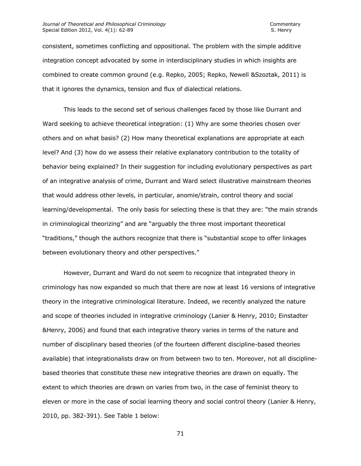#### *Journal of Theoretical and Philosophical Criminology* Commentary Special Edition 2012, Vol. 4(1): 62-89 S. Henry S. Henry

consistent, sometimes conflicting and oppositional. The problem with the simple additive integration concept advocated by some in interdisciplinary studies in which insights are combined to create common ground (e.g. Repko, 2005; Repko, Newell &Szoztak, 2011) is that it ignores the dynamics, tension and flux of dialectical relations.

This leads to the second set of serious challenges faced by those like Durrant and Ward seeking to achieve theoretical integration: (1) Why are some theories chosen over others and on what basis? (2) How many theoretical explanations are appropriate at each level? And (3) how do we assess their relative explanatory contribution to the totality of behavior being explained? In their suggestion for including evolutionary perspectives as part of an integrative analysis of crime, Durrant and Ward select illustrative mainstream theories that would address other levels, in particular, anomie/strain, control theory and social learning/developmental. The only basis for selecting these is that they are: "the main strands in criminological theorizing" and are "arguably the three most important theoretical "traditions," though the authors recognize that there is "substantial scope to offer linkages between evolutionary theory and other perspectives."

However, Durrant and Ward do not seem to recognize that integrated theory in criminology has now expanded so much that there are now at least 16 versions of integrative theory in the integrative criminological literature. Indeed, we recently analyzed the nature and scope of theories included in integrative criminology (Lanier & Henry, 2010; Einstadter &Henry, 2006) and found that each integrative theory varies in terms of the nature and number of disciplinary based theories (of the fourteen different discipline-based theories available) that integrationalists draw on from between two to ten. Moreover, not all disciplinebased theories that constitute these new integrative theories are drawn on equally. The extent to which theories are drawn on varies from two, in the case of feminist theory to eleven or more in the case of social learning theory and social control theory (Lanier & Henry, 2010, pp. 382-391). See Table 1 below: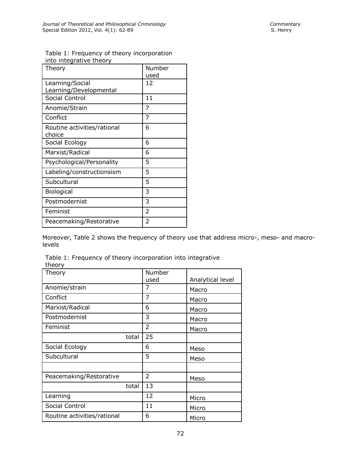| Table 1: Frequency of theory incorporation |  |
|--------------------------------------------|--|
| into integrative theory                    |  |

| Theory                                | Number<br>used |
|---------------------------------------|----------------|
| Learning/Social                       | 12             |
| Learning/Developmental                |                |
| Social Control                        | 11             |
| Anomie/Strain                         | 7              |
| Conflict                              | 7              |
| Routine activities/rational<br>choice | 6              |
| Social Ecology                        | 6              |
| Marxist/Radical                       | 6              |
| Psychological/Personality             | 5              |
| Labeling/constructionsism             | 5              |
| Subcultural                           | 5              |
| <b>Biological</b>                     | 3              |
| Postmodernist                         | 3              |
| Feminist                              | 2              |
| Peacemaking/Restorative               | 2              |

Moreover, Table 2 shows the frequency of theory use that address micro-, meso- and macrolevels

Table 1: Frequency of theory incorporation into integrative theory

| Theory                      | Number         |                  |
|-----------------------------|----------------|------------------|
|                             | used           | Analytical level |
| Anomie/strain               | 7              | Macro            |
| Conflict                    | 7              | Macro            |
| Marxist/Radical             | 6              | Macro            |
| Postmodernist               | 3              | Macro            |
| Feminist                    | $\overline{2}$ | Macro            |
| total                       | 25             |                  |
| Social Ecology              | 6              | Meso             |
| Subcultural                 | 5              | Meso             |
|                             |                |                  |
| Peacemaking/Restorative     | 2              | Meso             |
| total                       | 13             |                  |
| Learning                    | 12             | Micro            |
| Social Control              | 11             | Micro            |
| Routine activities/rational | 6              | Micro            |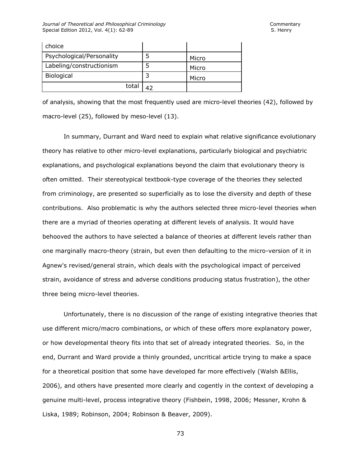| choice                    |       |
|---------------------------|-------|
| Psychological/Personality | Micro |
| Labeling/constructionism  | Micro |
| Biological                | Micro |
| total                     |       |

of analysis, showing that the most frequently used are micro-level theories (42), followed by macro-level (25), followed by meso-level (13).

In summary, Durrant and Ward need to explain what relative significance evolutionary theory has relative to other micro-level explanations, particularly biological and psychiatric explanations, and psychological explanations beyond the claim that evolutionary theory is often omitted. Their stereotypical textbook-type coverage of the theories they selected from criminology, are presented so superficially as to lose the diversity and depth of these contributions. Also problematic is why the authors selected three micro-level theories when there are a myriad of theories operating at different levels of analysis. It would have behooved the authors to have selected a balance of theories at different levels rather than one marginally macro-theory (strain, but even then defaulting to the micro-version of it in Agnew's revised/general strain, which deals with the psychological impact of perceived strain, avoidance of stress and adverse conditions producing status frustration), the other three being micro-level theories.

Unfortunately, there is no discussion of the range of existing integrative theories that use different micro/macro combinations, or which of these offers more explanatory power, or how developmental theory fits into that set of already integrated theories. So, in the end, Durrant and Ward provide a thinly grounded, uncritical article trying to make a space for a theoretical position that some have developed far more effectively (Walsh &Ellis, 2006), and others have presented more clearly and cogently in the context of developing a genuine multi-level, process integrative theory (Fishbein, 1998, 2006; Messner, Krohn & Liska, 1989; Robinson, 2004; Robinson & Beaver, 2009).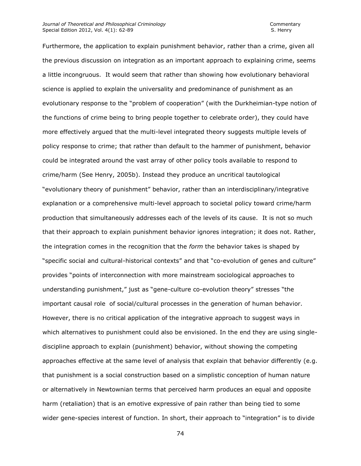Furthermore, the application to explain punishment behavior, rather than a crime, given all the previous discussion on integration as an important approach to explaining crime, seems a little incongruous. It would seem that rather than showing how evolutionary behavioral science is applied to explain the universality and predominance of punishment as an evolutionary response to the "problem of cooperation" (with the Durkheimian-type notion of the functions of crime being to bring people together to celebrate order), they could have more effectively argued that the multi-level integrated theory suggests multiple levels of policy response to crime; that rather than default to the hammer of punishment, behavior could be integrated around the vast array of other policy tools available to respond to crime/harm (See Henry, 2005b). Instead they produce an uncritical tautological "evolutionary theory of punishment" behavior, rather than an interdisciplinary/integrative explanation or a comprehensive multi-level approach to societal policy toward crime/harm production that simultaneously addresses each of the levels of its cause. It is not so much that their approach to explain punishment behavior ignores integration; it does not. Rather, the integration comes in the recognition that the *form* the behavior takes is shaped by "specific social and cultural-historical contexts" and that "co-evolution of genes and culture" provides "points of interconnection with more mainstream sociological approaches to understanding punishment," just as "gene-culture co-evolution theory" stresses "the important causal role of social/cultural processes in the generation of human behavior. However, there is no critical application of the integrative approach to suggest ways in which alternatives to punishment could also be envisioned. In the end they are using singlediscipline approach to explain (punishment) behavior, without showing the competing approaches effective at the same level of analysis that explain that behavior differently (e.g. that punishment is a social construction based on a simplistic conception of human nature or alternatively in Newtownian terms that perceived harm produces an equal and opposite harm (retaliation) that is an emotive expressive of pain rather than being tied to some wider gene-species interest of function. In short, their approach to "integration" is to divide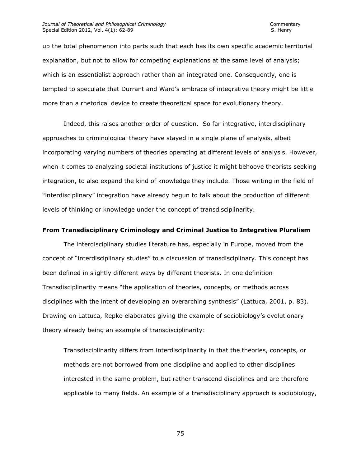up the total phenomenon into parts such that each has its own specific academic territorial explanation, but not to allow for competing explanations at the same level of analysis; which is an essentialist approach rather than an integrated one. Consequently, one is tempted to speculate that Durrant and Ward's embrace of integrative theory might be little more than a rhetorical device to create theoretical space for evolutionary theory.

Indeed, this raises another order of question. So far integrative, interdisciplinary approaches to criminological theory have stayed in a single plane of analysis, albeit incorporating varying numbers of theories operating at different levels of analysis. However, when it comes to analyzing societal institutions of justice it might behoove theorists seeking integration, to also expand the kind of knowledge they include. Those writing in the field of "interdisciplinary" integration have already begun to talk about the production of different levels of thinking or knowledge under the concept of transdisciplinarity.

#### **From Transdisciplinary Criminology and Criminal Justice to Integrative Pluralism**

The interdisciplinary studies literature has, especially in Europe, moved from the concept of "interdisciplinary studies" to a discussion of transdisciplinary. This concept has been defined in slightly different ways by different theorists. In one definition Transdisciplinarity means "the application of theories, concepts, or methods across disciplines with the intent of developing an overarching synthesis" (Lattuca, 2001, p. 83). Drawing on Lattuca, Repko elaborates giving the example of sociobiology's evolutionary theory already being an example of transdisciplinarity:

Transdisciplinarity differs from interdisciplinarity in that the theories, concepts, or methods are not borrowed from one discipline and applied to other disciplines interested in the same problem, but rather transcend disciplines and are therefore applicable to many fields. An example of a transdisciplinary approach is sociobiology,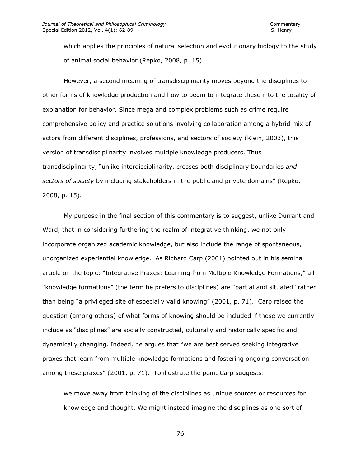which applies the principles of natural selection and evolutionary biology to the study of animal social behavior (Repko, 2008, p. 15)

However, a second meaning of transdisciplinarity moves beyond the disciplines to other forms of knowledge production and how to begin to integrate these into the totality of explanation for behavior. Since mega and complex problems such as crime require comprehensive policy and practice solutions involving collaboration among a hybrid mix of actors from different disciplines, professions, and sectors of society (Klein, 2003), this version of transdisciplinarity involves multiple knowledge producers. Thus transdisciplinarity, "unlike interdisciplinarity, crosses both disciplinary boundaries *and sectors of society* by including stakeholders in the public and private domains" (Repko, 2008, p. 15).

My purpose in the final section of this commentary is to suggest, unlike Durrant and Ward, that in considering furthering the realm of integrative thinking, we not only incorporate organized academic knowledge, but also include the range of spontaneous, unorganized experiential knowledge. As Richard Carp (2001) pointed out in his seminal article on the topic; "Integrative Praxes: Learning from Multiple Knowledge Formations," all "knowledge formations" (the term he prefers to disciplines) are "partial and situated" rather than being "a privileged site of especially valid knowing" (2001, p. 71). Carp raised the question (among others) of what forms of knowing should be included if those we currently include as "disciplines" are socially constructed, culturally and historically specific and dynamically changing. Indeed, he argues that "we are best served seeking integrative praxes that learn from multiple knowledge formations and fostering ongoing conversation among these praxes" (2001, p. 71). To illustrate the point Carp suggests:

we move away from thinking of the disciplines as unique sources or resources for knowledge and thought. We might instead imagine the disciplines as one sort of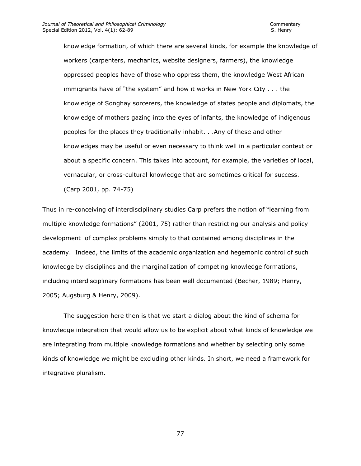knowledge formation, of which there are several kinds, for example the knowledge of workers (carpenters, mechanics, website designers, farmers), the knowledge oppressed peoples have of those who oppress them, the knowledge West African immigrants have of "the system" and how it works in New York City . . . the knowledge of Songhay sorcerers, the knowledge of states people and diplomats, the knowledge of mothers gazing into the eyes of infants, the knowledge of indigenous peoples for the places they traditionally inhabit. . .Any of these and other knowledges may be useful or even necessary to think well in a particular context or about a specific concern. This takes into account, for example, the varieties of local, vernacular, or cross-cultural knowledge that are sometimes critical for success. (Carp 2001, pp. 74-75)

Thus in re-conceiving of interdisciplinary studies Carp prefers the notion of "learning from multiple knowledge formations" (2001, 75) rather than restricting our analysis and policy development of complex problems simply to that contained among disciplines in the academy. Indeed, the limits of the academic organization and hegemonic control of such knowledge by disciplines and the marginalization of competing knowledge formations, including interdisciplinary formations has been well documented (Becher, 1989; Henry, 2005; Augsburg & Henry, 2009).

The suggestion here then is that we start a dialog about the kind of schema for knowledge integration that would allow us to be explicit about what kinds of knowledge we are integrating from multiple knowledge formations and whether by selecting only some kinds of knowledge we might be excluding other kinds. In short, we need a framework for integrative pluralism.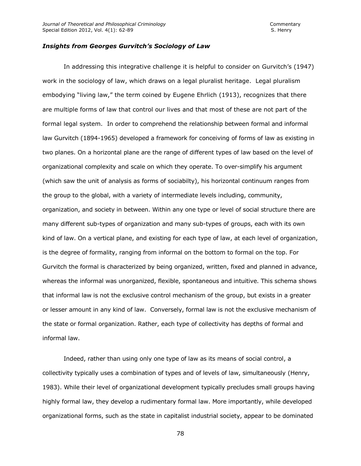### *Insights from Georges Gurvitch's Sociology of Law*

In addressing this integrative challenge it is helpful to consider on Gurvitch's (1947) work in the sociology of law, which draws on a legal pluralist heritage. Legal pluralism embodying "living law," the term coined by Eugene Ehrlich (1913), recognizes that there are multiple forms of law that control our lives and that most of these are not part of the formal legal system. In order to comprehend the relationship between formal and informal law Gurvitch (1894-1965) developed a framework for conceiving of forms of law as existing in two planes. On a horizontal plane are the range of different types of law based on the level of organizational complexity and scale on which they operate. To over-simplify his argument (which saw the unit of analysis as forms of sociabilty), his horizontal continuum ranges from the group to the global, with a variety of intermediate levels including, community, organization, and society in between. Within any one type or level of social structure there are many different sub-types of organization and many sub-types of groups, each with its own kind of law. On a vertical plane, and existing for each type of law, at each level of organization, is the degree of formality, ranging from informal on the bottom to formal on the top. For Gurvitch the formal is characterized by being organized, written, fixed and planned in advance, whereas the informal was unorganized, flexible, spontaneous and intuitive. This schema shows that informal law is not the exclusive control mechanism of the group, but exists in a greater or lesser amount in any kind of law. Conversely, formal law is not the exclusive mechanism of the state or formal organization. Rather, each type of collectivity has depths of formal and informal law.

Indeed, rather than using only one type of law as its means of social control, a collectivity typically uses a combination of types and of levels of law, simultaneously (Henry, 1983). While their level of organizational development typically precludes small groups having highly formal law, they develop a rudimentary formal law. More importantly, while developed organizational forms, such as the state in capitalist industrial society, appear to be dominated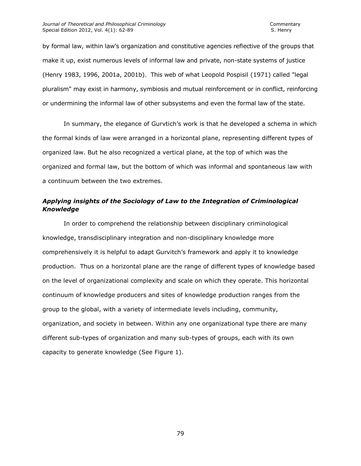by formal law, within law's organization and constitutive agencies reflective of the groups that make it up, exist numerous levels of informal law and private, non-state systems of justice (Henry 1983, 1996, 2001a, 2001b). This web of what Leopold Pospisil (1971) called "legal pluralism" may exist in harmony, symbiosis and mutual reinforcement or in conflict, reinforcing or undermining the informal law of other subsystems and even the formal law of the state.

In summary, the elegance of Gurvtich's work is that he developed a schema in which the formal kinds of law were arranged in a horizontal plane, representing different types of organized law. But he also recognized a vertical plane, at the top of which was the organized and formal law, but the bottom of which was informal and spontaneous law with a continuum between the two extremes.

# *Applying insights of the Sociology of Law to the Integration of Criminological Knowledge*

In order to comprehend the relationship between disciplinary criminological knowledge, transdisciplinary integration and non-disciplinary knowledge more comprehensively it is helpful to adapt Gurvitch's framework and apply it to knowledge production. Thus on a horizontal plane are the range of different types of knowledge based on the level of organizational complexity and scale on which they operate. This horizontal continuum of knowledge producers and sites of knowledge production ranges from the group to the global, with a variety of intermediate levels including, community, organization, and society in between. Within any one organizational type there are many different sub-types of organization and many sub-types of groups, each with its own capacity to generate knowledge (See Figure 1).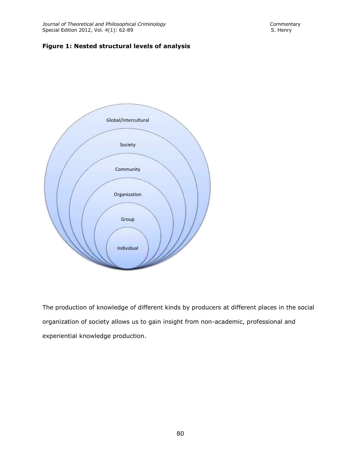## **Figure 1: Nested structural levels of analysis**



The production of knowledge of different kinds by producers at different places in the social organization of society allows us to gain insight from non-academic, professional and experiential knowledge production.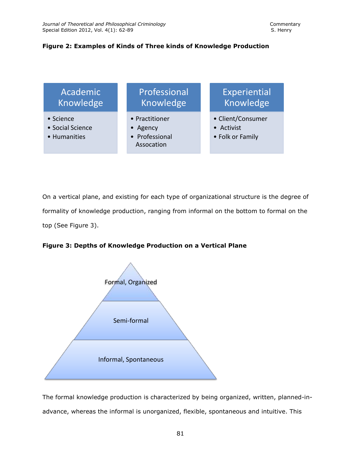### **Figure 2: Examples of Kinds of Three kinds of Knowledge Production**



On a vertical plane, and existing for each type of organizational structure is the degree of formality of knowledge production, ranging from informal on the bottom to formal on the top (See Figure 3).

**Figure 3: Depths of Knowledge Production on a Vertical Plane**



The formal knowledge production is characterized by being organized, written, planned-inadvance, whereas the informal is unorganized, flexible, spontaneous and intuitive. This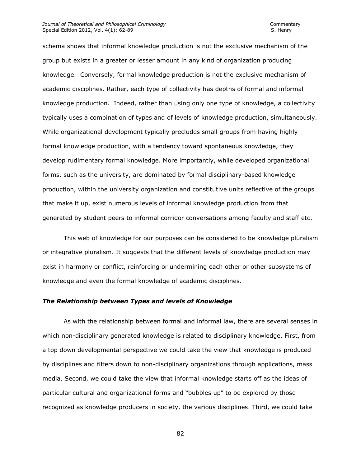#### *Journal of Theoretical and Philosophical Criminology* Commentary Special Edition 2012, Vol. 4(1): 62-89 S. Henry S. Henry

schema shows that informal knowledge production is not the exclusive mechanism of the group but exists in a greater or lesser amount in any kind of organization producing knowledge. Conversely, formal knowledge production is not the exclusive mechanism of academic disciplines. Rather, each type of collectivity has depths of formal and informal knowledge production. Indeed, rather than using only one type of knowledge, a collectivity typically uses a combination of types and of levels of knowledge production, simultaneously. While organizational development typically precludes small groups from having highly formal knowledge production, with a tendency toward spontaneous knowledge, they develop rudimentary formal knowledge. More importantly, while developed organizational forms, such as the university, are dominated by formal disciplinary-based knowledge production, within the university organization and constitutive units reflective of the groups that make it up, exist numerous levels of informal knowledge production from that generated by student peers to informal corridor conversations among faculty and staff etc.

This web of knowledge for our purposes can be considered to be knowledge pluralism or integrative pluralism. It suggests that the different levels of knowledge production may exist in harmony or conflict, reinforcing or undermining each other or other subsystems of knowledge and even the formal knowledge of academic disciplines.

#### *The Relationship between Types and levels of Knowledge*

As with the relationship between formal and informal law, there are several senses in which non-disciplinary generated knowledge is related to disciplinary knowledge. First, from a top down developmental perspective we could take the view that knowledge is produced by disciplines and filters down to non-disciplinary organizations through applications, mass media. Second, we could take the view that informal knowledge starts off as the ideas of particular cultural and organizational forms and "bubbles up" to be explored by those recognized as knowledge producers in society, the various disciplines. Third, we could take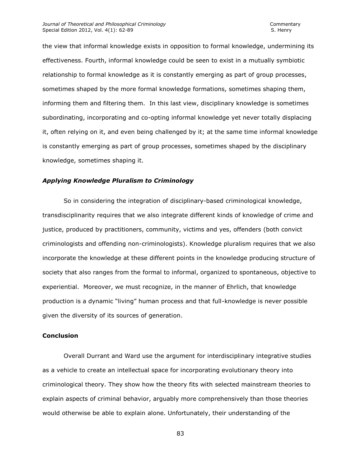the view that informal knowledge exists in opposition to formal knowledge, undermining its effectiveness. Fourth, informal knowledge could be seen to exist in a mutually symbiotic relationship to formal knowledge as it is constantly emerging as part of group processes, sometimes shaped by the more formal knowledge formations, sometimes shaping them, informing them and filtering them. In this last view, disciplinary knowledge is sometimes subordinating, incorporating and co-opting informal knowledge yet never totally displacing it, often relying on it, and even being challenged by it; at the same time informal knowledge is constantly emerging as part of group processes, sometimes shaped by the disciplinary knowledge, sometimes shaping it.

### *Applying Knowledge Pluralism to Criminology*

So in considering the integration of disciplinary-based criminological knowledge, transdisciplinarity requires that we also integrate different kinds of knowledge of crime and justice, produced by practitioners, community, victims and yes, offenders (both convict criminologists and offending non-criminologists). Knowledge pluralism requires that we also incorporate the knowledge at these different points in the knowledge producing structure of society that also ranges from the formal to informal, organized to spontaneous, objective to experiential. Moreover, we must recognize, in the manner of Ehrlich, that knowledge production is a dynamic "living" human process and that full-knowledge is never possible given the diversity of its sources of generation.

### **Conclusion**

Overall Durrant and Ward use the argument for interdisciplinary integrative studies as a vehicle to create an intellectual space for incorporating evolutionary theory into criminological theory. They show how the theory fits with selected mainstream theories to explain aspects of criminal behavior, arguably more comprehensively than those theories would otherwise be able to explain alone. Unfortunately, their understanding of the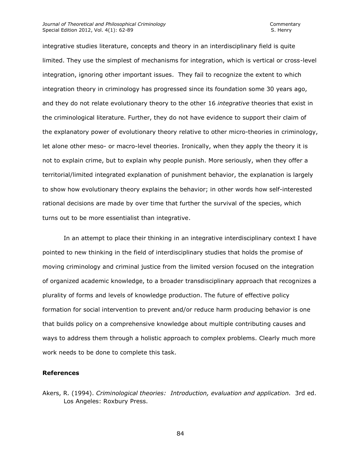integrative studies literature, concepts and theory in an interdisciplinary field is quite limited. They use the simplest of mechanisms for integration, which is vertical or cross-level integration, ignoring other important issues. They fail to recognize the extent to which integration theory in criminology has progressed since its foundation some 30 years ago, and they do not relate evolutionary theory to the other 16 *integrative* theories that exist in the criminological literature. Further, they do not have evidence to support their claim of the explanatory power of evolutionary theory relative to other micro-theories in criminology, let alone other meso- or macro-level theories. Ironically, when they apply the theory it is not to explain crime, but to explain why people punish. More seriously, when they offer a territorial/limited integrated explanation of punishment behavior, the explanation is largely to show how evolutionary theory explains the behavior; in other words how self-interested rational decisions are made by over time that further the survival of the species, which turns out to be more essentialist than integrative.

In an attempt to place their thinking in an integrative interdisciplinary context I have pointed to new thinking in the field of interdisciplinary studies that holds the promise of moving criminology and criminal justice from the limited version focused on the integration of organized academic knowledge, to a broader transdisciplinary approach that recognizes a plurality of forms and levels of knowledge production. The future of effective policy formation for social intervention to prevent and/or reduce harm producing behavior is one that builds policy on a comprehensive knowledge about multiple contributing causes and ways to address them through a holistic approach to complex problems. Clearly much more work needs to be done to complete this task.

### **References**

Akers, R. (1994). *Criminological theories: Introduction, evaluation and application.* 3rd ed. Los Angeles: Roxbury Press.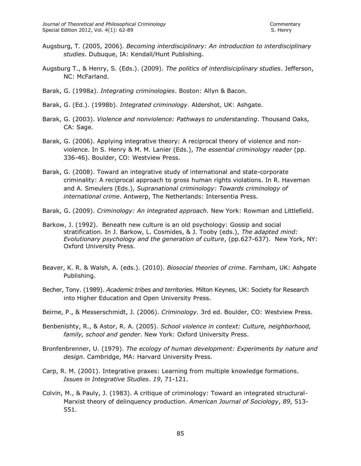- Augsburg, T. (2005, 2006). *Becoming interdisciplinary: An introduction to interdisciplinary studies*. Dubuque, IA: Kendall/Hunt Publishing.
- Augsburg T., & Henry, S. (Eds.). (2009). *The politics of interdisiciplinary studies*. Jefferson, NC: McFarland.
- Barak, G. (1998a). *Integrating criminologies*. Boston: Allyn & Bacon.
- Barak, G. (Ed.). (1998b). *Integrated criminology*. Aldershot, UK: Ashgate.
- Barak, G. (2003). *Violence and nonviolence: Pathways to understanding*. Thousand Oaks, CA: Sage.
- Barak, G. (2006). Applying integrative theory: A reciprocal theory of violence and nonviolence. In S. Henry & M. M. Lanier (Eds.), *The essential criminology reader* (pp. 336-46). Boulder, CO: Westview Press.
- Barak, G. (2008). Toward an integrative study of international and state-corporate criminality: A reciprocal approach to gross human rights violations. In R. Haveman and A. Smeulers (Eds.), *Supranational criminology: Towards criminology of international crime*. Antwerp, The Netherlands: Intersentia Press.
- Barak, G. (2009). *Criminology: An integrated approach.* New York: Rowman and Littlefield.
- Barkow, J. (1992). Beneath new culture is an old psychology: Gossip and social stratification. In J. Barkow, L. Cosmides, & J. Tooby (eds.), *The adapted mind: Evolutionary psychology and the generation of culture*, (pp.627-637). New York, NY: Oxford University Press.
- Beaver, K. R. & Walsh, A. (eds.). (2010). *Biosocial theories of crime*. Farnham, UK: Ashgate Publishing.
- Becher, Tony. (1989). *Academic tribes and territories.* Milton Keynes, UK: Society for Research into Higher Education and Open University Press.
- Beirne, P., & Messerschmidt, J. (2006). *Criminology.* 3rd ed. Boulder, CO: Westview Press.
- Benbenishty, R., & Astor, R. A. (2005). *School violence in context: Culture, neighborhood, family, school and gender*. New York: Oxford University Press.
- Bronfenbrenner, U. (1979). *The ecology of human development: Experiments by nature and design*. Cambridge, MA: Harvard University Press.
- Carp, R. M. (2001). Integrative praxes: Learning from multiple knowledge formations. *Issues in Integrative Studies*. *19*, 71-121.
- Colvin, M., & Pauly, J. (1983). A critique of criminology: Toward an integrated structural-Marxist theory of delinquency production. *American Journal of Sociology*, *89*, 513- 551.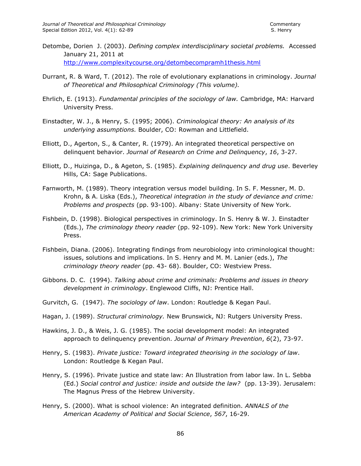- Detombe, Dorien J. (2003). *Defining complex interdisciplinary societal problems.* Accessed January 21, 2011 at <http://www.complexitycourse.org/detombecompramh1thesis.html>
- Durrant, R. & Ward, T. (2012). The role of evolutionary explanations in criminology. *Journal of Theoretical and Philosophical Criminology (This volume).*
- Ehrlich, E. (1913). *Fundamental principles of the sociology of law.* Cambridge, MA: Harvard University Press.
- Einstadter, W. J., & Henry, S. (1995; 2006). *Criminological theory: An analysis of its underlying assumptions.* Boulder, CO: Rowman and Littlefield.
- Elliott, D., Agerton, S., & Canter, R. (1979). An integrated theoretical perspective on delinquent behavior. *Journal of Research on Crime and Delinquency*, *16*, 3-27.
- Elliott, D., Huizinga, D., & Ageton, S. (1985). *Explaining delinquency and drug use*. Beverley Hills, CA: Sage Publications.
- Farnworth, M. (1989). Theory integration versus model building. In S. F. Messner, M. D. Krohn, & A. Liska (Eds.), *Theoretical integration in the study of deviance and crime: Problems and prospects* (pp. 93-100). Albany: State University of New York.
- Fishbein, D. (1998). Biological perspectives in criminology. In S. Henry & W. J. Einstadter (Eds.), *The criminology theory reader* (pp. 92-109). New York: New York University Press.
- Fishbein, Diana. (2006). Integrating findings from neurobiology into criminological thought: issues, solutions and implications. In S. Henry and M. M. Lanier (eds.), *The criminology theory reader* (pp. 43- 68). Boulder, CO: Westview Press.
- Gibbons. D. C. (1994). *Talking about crime and criminals: Problems and issues in theory development in criminology*. Englewood Cliffs, NJ: Prentice Hall.
- Gurvitch, G. (1947). *The sociology of law*. London: Routledge & Kegan Paul.
- Hagan, J. (1989). *Structural criminology.* New Brunswick, NJ: Rutgers University Press.
- Hawkins, J. D., & Weis, J. G. (1985). The social development model: An integrated approach to delinquency prevention. *Journal of Primary Prevention*, *6*(2), 73-97.
- Henry, S. (1983). *Private justice: Toward integrated theorising in the sociology of law*. London: Routledge & Kegan Paul.
- Henry, S. (1996). Private justice and state law: An Illustration from labor law. In L. Sebba (Ed.) *Social control and justice: inside and outside the law?* (pp. 13-39). Jerusalem: The Magnus Press of the Hebrew University.
- Henry, S. (2000). What is school violence: An integrated definition. *ANNALS of the American Academy of Political and Social Science*, *567*, 16-29.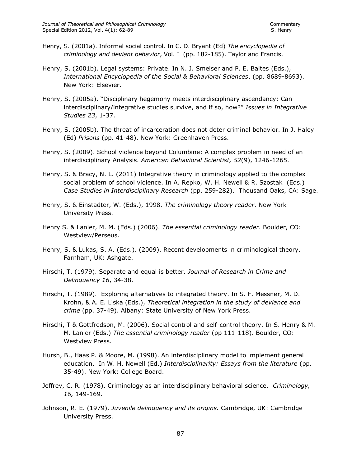- Henry, S. (2001a). Informal social control. In C. D. Bryant (Ed) *The encyclopedia of criminology and deviant behavior*, Vol. I (pp. 182-185). Taylor and Francis.
- Henry, S. (2001b). Legal systems: Private. In N. J. Smelser and P. E. Baltes (Eds.), *International Encyclopedia of the Social & Behavioral Sciences*, (pp. 8689-8693). New York: Elsevier.
- Henry, S. (2005a). "Disciplinary hegemony meets interdisciplinary ascendancy: Can interdisciplinary/integrative studies survive, and if so, how?" *Issues in Integrative Studies 23*, 1-37.
- Henry, S. (2005b). The threat of incarceration does not deter criminal behavior. In J. Haley (Ed) *Prisons* (pp. 41-48). New York: Greenhaven Press.
- Henry, S. (2009). School violence beyond Columbine: A complex problem in need of an interdisciplinary Analysis. *American Behavioral Scientist, 52*(9), 1246-1265.
- Henry, S. & Bracy, N. L. (2011) Integrative theory in criminology applied to the complex social problem of school violence. In A. Repko, W. H. Newell & R. Szostak (Eds.) *Case Studies in Interdisciplinary Research* (pp. 259-282). Thousand Oaks, CA: Sage.
- Henry, S. & Einstadter, W. (Eds.), 1998. *The criminology theory reader*. New York University Press.
- Henry S. & Lanier, M. M. (Eds.) (2006). *The essential criminology reader*. Boulder, CO: Westview/Perseus.
- Henry, S. & Lukas, S. A. (Eds.). (2009). Recent developments in criminological theory. Farnham, UK: Ashgate.
- Hirschi, T. (1979). Separate and equal is better. *Journal of Research in Crime and Delinquency 16*, 34-38.
- Hirschi, T. (1989). Exploring alternatives to integrated theory. In S. F. Messner, M. D. Krohn, & A. E. Liska (Eds.), *Theoretical integration in the study of deviance and crime* (pp. 37-49). Albany: State University of New York Press.
- Hirschi, T & Gottfredson, M. (2006). Social control and self-control theory. In S. Henry & M. M. Lanier (Eds.) *The essential criminology reader* (pp 111-118). Boulder, CO: Westview Press.
- Hursh, B., Haas P. & Moore, M. (1998). An interdisciplinary model to implement general education. In W. H. Newell (Ed.) *Interdisciplinarity: Essays from the literature* (pp. 35-49). New York: College Board.
- Jeffrey, C. R. (1978). Criminology as an interdisciplinary behavioral science. *Criminology, 16,* 149-169.
- Johnson, R. E. (1979). *Juvenile delinquency and its origins.* Cambridge, UK: Cambridge University Press.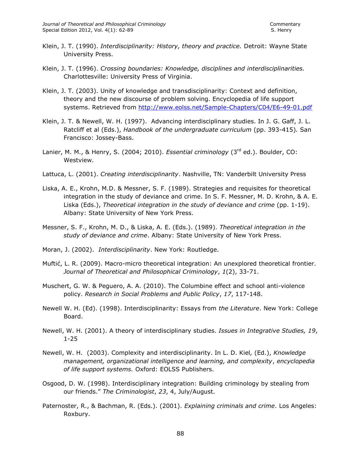- Klein, J. T. (1990). *Interdisciplinarity: History, theory and practice.* Detroit: Wayne State University Press.
- Klein, J. T. (1996). *Crossing boundaries: Knowledge, disciplines and interdisciplinarities.*  Charlottesville: University Press of Virginia.
- Klein, J. T. (2003). Unity of knowledge and transdisciplinarity: Context and definition, theory and the new discourse of problem solving. Encyclopedia of life support systems. Retrieved from<http://www.eolss.net/Sample-Chapters/C04/E6-49-01.pdf>
- Klein, J. T. & Newell, W. H. (1997). Advancing interdisciplinary studies. In J. G. Gaff, J. L. Ratcliff et al (Eds.), *Handbook of the undergraduate curriculum* (pp. 393-415)*.* San Francisco: Jossey-Bass.
- Lanier, M. M., & Henry, S. (2004; 2010). *Essential criminology* (3<sup>rd</sup> ed.). Boulder, CO: Westview.
- Lattuca, L. (2001). *Creating interdisciplinarity*. Nashville, TN: Vanderbilt University Press
- Liska, A. E., Krohn, M.D. & Messner, S. F. (1989). Strategies and requisites for theoretical integration in the study of deviance and crime. In S. F. Messner, M. D. Krohn, & A. E. Liska (Eds.), *Theoretical integration in the study of deviance and crime* (pp. 1-19). Albany: State University of New York Press.
- Messner, S. F., Krohn, M. D., & Liska, A. E. (Eds.). (1989). *Theoretical integration in the study of deviance and crime*. Albany: State University of New York Press.
- Moran, J. (2002). *Interdisciplinarity*. New York: Routledge.
- Muftić, L. R. (2009). Macro-micro theoretical integration: An unexplored theoretical frontier. *Journal of Theoretical and Philosophical Criminology*, *1*(2), 33-71.
- Muschert, G. W. & Peguero, A. A. (2010). The Columbine effect and school anti-violence policy. *Research in Social Problems and Public Policy*, *17*, 117-148.
- Newell W. H. (Ed). (1998). Interdisciplinarity: Essays from *the Literature*. New York: College Board.
- Newell, W. H. (2001). A theory of interdisciplinary studies. *Issues in Integrative Studies, 19*, 1-25
- Newell, W. H. (2003). Complexity and interdisciplinarity. In L. D. Kiel*,* (Ed.), *Knowledge management, organizational intelligence and learning, and complexity*, *encyclopedia of life support systems.* Oxford: EOLSS Publishers.
- Osgood, D. W. (1998). Interdisciplinary integration: Building criminology by stealing from our friends." *The Criminologist*, *23*, 4, July/August.
- Paternoster, R., & Bachman, R. (Eds.). (2001). *Explaining criminals and crime*. Los Angeles: Roxbury.